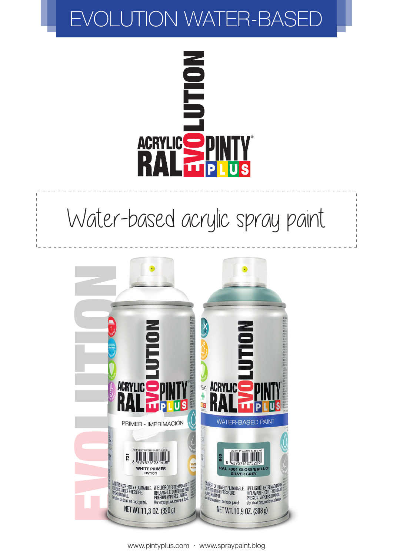# EVOLUTION WATER-BASED



# Water-based acrylic spray paint

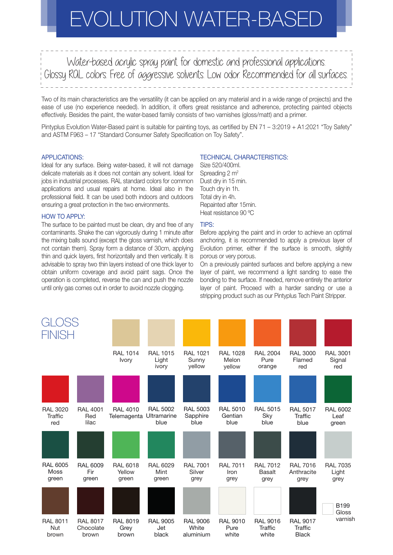# EVOLUTION WATER-BASE

Water-based acrylic spray paint for domestic and professional applications. Glossy RAL colors. Free of aggressive solvents. Low odor. Recommended for all surfaces.

Two of its main characteristics are the versatility (it can be applied on any material and in a wide range of projects) and the ease of use (no experience needed). In addition, it offers great resistance and adherence, protecting painted objects effectively. Besides the paint, the water-based family consists of two varnishes (gloss/matt) and a primer.

Pintyplus Evolution Water-Based paint is suitable for painting toys, as certified by EN 71 – 3:2019 + A1:2021 "Toy Safety" and ASTM F963 – 17 "Standard Consumer Safety Specification on Toy Safety".

### APPLICATIONS:

Ideal for any surface. Being water-based, it will not damage delicate materials as it does not contain any solvent. Ideal for jobs in industrial processes. RAL standard colors for common applications and usual repairs at home. Ideal also in the professional field. It can be used both indoors and outdoors ensuring a great protection in the two environments.

#### HOW TO APPLY:

The surface to be painted must be clean, dry and free of any contaminants. Shake the can vigorously during 1 minute after the mixing balls sound (except the gloss varnish, which does not contain them). Spray form a distance of 30cm, applying thin and quick layers, first horizontally and then vertically. It is advisable to spray two thin layers instead of one thick layer to obtain uniform coverage and avoid paint sags. Once the operation is completed, reverse the can and push the nozzle until only gas comes out in order to avoid nozzle clogging.

## TECHNICAL CHARACTERISTICS:

Size 520/400ml. Spreading  $2 \, \text{m}^2$ Dust dry in 15 min. Touch dry in 1h. Total dry in 4h. Repainted after 15min. Heat resistance 90 ºC

#### TIPS:

Before applying the paint and in order to achieve an optimal anchoring, it is recommended to apply a previous layer of Evolution primer, either if the surface is smooth, slightly porous or very porous.

On a previously painted surfaces and before applying a new layer of paint, we recommend a light sanding to ease the bonding to the surface. If needed, remove entirely the anterior layer of paint. Proceed with a harder sanding or use a stripping product such as our Pintyplus Tech Paint Stripper.

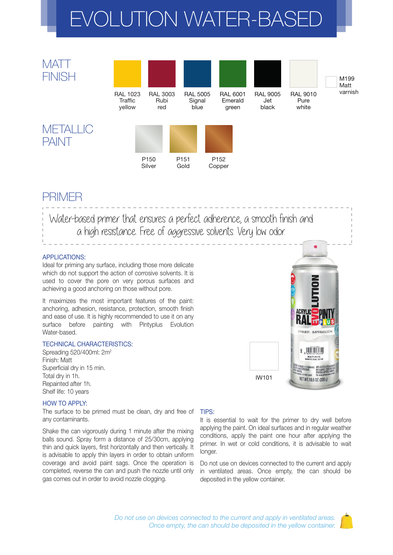# EVOLUTION WATER-BASE



# PRIMER

Water-based primer that ensures a perfect adherence, a smooth finish and a high resistance. Free of aggressive solvents. Very low odor.

# APPLICATIONS:

Ideal for priming any surface, including those more delicate which do not support the action of corrosive solvents. It is used to cover the pore on very porous surfaces and achieving a good anchoring on those without pore.

It maximizes the most important features of the paint: anchoring, adhesion, resistance, protection, smooth finish and ease of use. It is highly recommended to use it on any surface before painting with Pintyplus Evolution Water-based.

## TECHNICAL CHARACTERISTICS:

Spreading 520/400ml: 2m2 Finish: Matt Superficial dry in 15 min. Total dry in 1h. Repainted after 1h. Shelf life: 10 years

# $\frac{1}{2}$ IW101 NET WT. 10,6 0Z. (300 g)

## HOW TO APPLY:

The surface to be primed must be clean, dry and free of any contaminants.

Shake the can vigorously during 1 minute after the mixing balls sound. Spray form a distance of 25/30cm, applying thin and quick layers, first horizontally and then vertically. It is advisable to apply thin layers in order to obtain uniform coverage and avoid paint sags. Once the operation is completed, reverse the can and push the nozzle until only gas comes out in order to avoid nozzle clogging.

## TIPS:

It is essential to wait for the primer to dry well before applying the paint. On ideal surfaces and in regular weather conditions, apply the paint one hour after applying the primer. In wet or cold conditions, it is advisable to wait longer.

Do not use on devices connected to the current and apply in ventilated areas. Once empty, the can should be deposited in the yellow container.